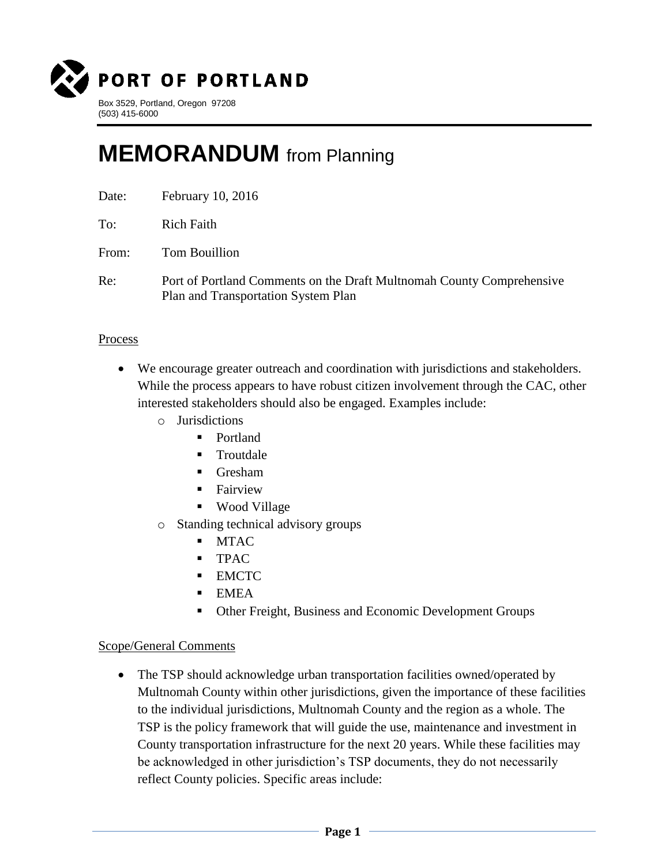

## **MEMORANDUM** from Planning

| Date: | February 10, 2016 |  |
|-------|-------------------|--|
|       |                   |  |

To: Rich Faith

From: Tom Bouillion

Re: Port of Portland Comments on the Draft Multnomah County Comprehensive Plan and Transportation System Plan

## Process

- We encourage greater outreach and coordination with jurisdictions and stakeholders. While the process appears to have robust citizen involvement through the CAC, other interested stakeholders should also be engaged. Examples include:
	- o Jurisdictions
		- Portland
		- **Troutdale**
		- Gresham
		- **Fairview**
		- Wood Village
	- o Standing technical advisory groups
		- **MTAC**
		- **TPAC**
		- **EMCTC**
		- $\blacksquare$  EMEA
		- Other Freight, Business and Economic Development Groups

## Scope/General Comments

• The TSP should acknowledge urban transportation facilities owned/operated by Multnomah County within other jurisdictions, given the importance of these facilities to the individual jurisdictions, Multnomah County and the region as a whole. The TSP is the policy framework that will guide the use, maintenance and investment in County transportation infrastructure for the next 20 years. While these facilities may be acknowledged in other jurisdiction's TSP documents, they do not necessarily reflect County policies. Specific areas include: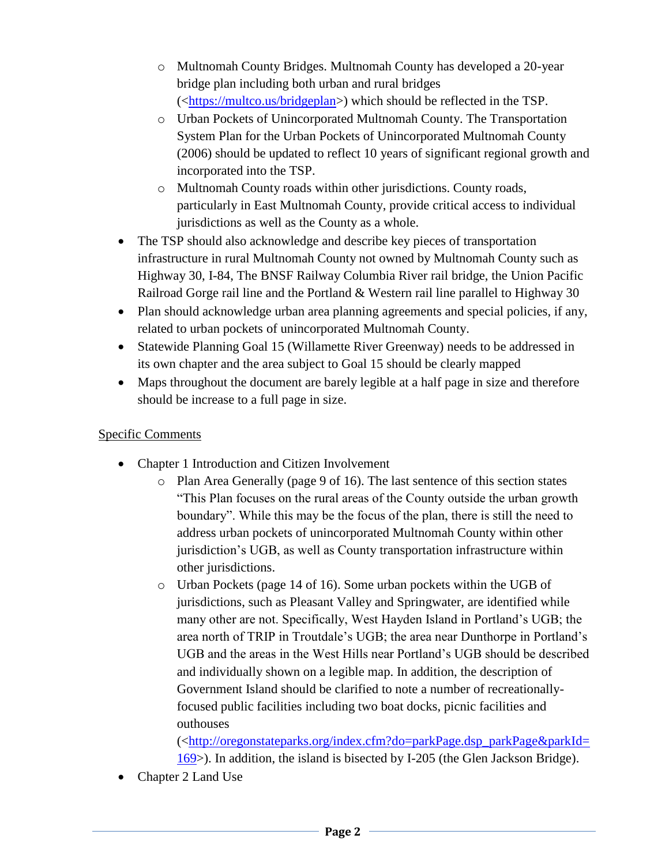- o Multnomah County Bridges. Multnomah County has developed a 20-year bridge plan including both urban and rural bridges ([<https://multco.us/bridgeplan>](https://multco.us/bridgeplan)) which should be reflected in the TSP.
- o Urban Pockets of Unincorporated Multnomah County. The Transportation System Plan for the Urban Pockets of Unincorporated Multnomah County (2006) should be updated to reflect 10 years of significant regional growth and incorporated into the TSP.
- o Multnomah County roads within other jurisdictions. County roads, particularly in East Multnomah County, provide critical access to individual jurisdictions as well as the County as a whole.
- The TSP should also acknowledge and describe key pieces of transportation infrastructure in rural Multnomah County not owned by Multnomah County such as Highway 30, I-84, The BNSF Railway Columbia River rail bridge, the Union Pacific Railroad Gorge rail line and the Portland & Western rail line parallel to Highway 30
- Plan should acknowledge urban area planning agreements and special policies, if any, related to urban pockets of unincorporated Multnomah County.
- Statewide Planning Goal 15 (Willamette River Greenway) needs to be addressed in its own chapter and the area subject to Goal 15 should be clearly mapped
- Maps throughout the document are barely legible at a half page in size and therefore should be increase to a full page in size.

## Specific Comments

- Chapter 1 Introduction and Citizen Involvement
	- $\circ$  Plan Area Generally (page 9 of 16). The last sentence of this section states "This Plan focuses on the rural areas of the County outside the urban growth boundary". While this may be the focus of the plan, there is still the need to address urban pockets of unincorporated Multnomah County within other jurisdiction's UGB, as well as County transportation infrastructure within other jurisdictions.
	- o Urban Pockets (page 14 of 16). Some urban pockets within the UGB of jurisdictions, such as Pleasant Valley and Springwater, are identified while many other are not. Specifically, West Hayden Island in Portland's UGB; the area north of TRIP in Troutdale's UGB; the area near Dunthorpe in Portland's UGB and the areas in the West Hills near Portland's UGB should be described and individually shown on a legible map. In addition, the description of Government Island should be clarified to note a number of recreationallyfocused public facilities including two boat docks, picnic facilities and outhouses

([<http://oregonstateparks.org/index.cfm?do=parkPage.dsp\\_parkPage&parkId=](http://oregonstateparks.org/index.cfm?do=parkPage.dsp_parkPage&parkId=169) [169>](http://oregonstateparks.org/index.cfm?do=parkPage.dsp_parkPage&parkId=169)). In addition, the island is bisected by I-205 (the Glen Jackson Bridge).

Chapter 2 Land Use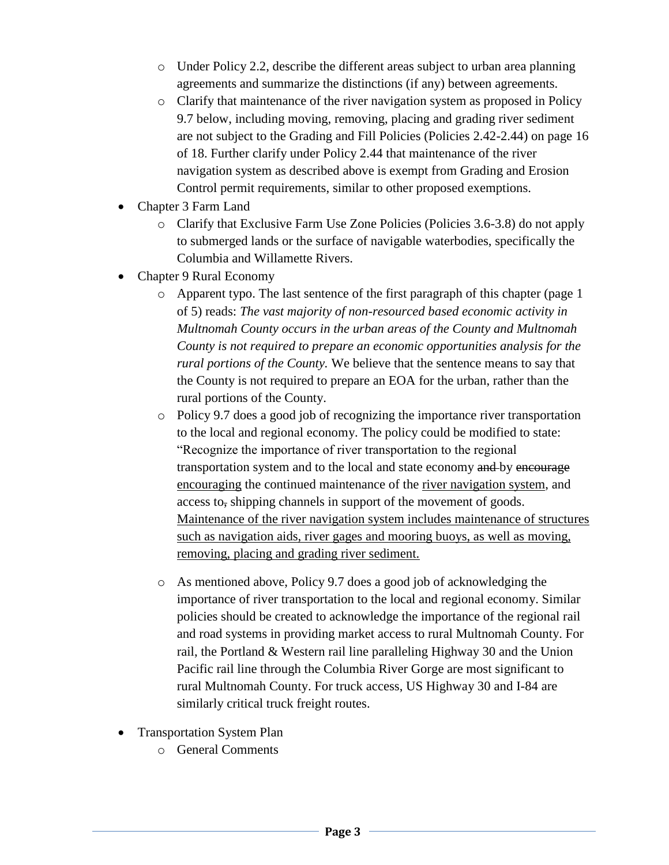- o Under Policy 2.2, describe the different areas subject to urban area planning agreements and summarize the distinctions (if any) between agreements.
- o Clarify that maintenance of the river navigation system as proposed in Policy 9.7 below, including moving, removing, placing and grading river sediment are not subject to the Grading and Fill Policies (Policies 2.42-2.44) on page 16 of 18. Further clarify under Policy 2.44 that maintenance of the river navigation system as described above is exempt from Grading and Erosion Control permit requirements, similar to other proposed exemptions.
- Chapter 3 Farm Land
	- o Clarify that Exclusive Farm Use Zone Policies (Policies 3.6-3.8) do not apply to submerged lands or the surface of navigable waterbodies, specifically the Columbia and Willamette Rivers.
- Chapter 9 Rural Economy
	- o Apparent typo. The last sentence of the first paragraph of this chapter (page 1 of 5) reads: *The vast majority of non-resourced based economic activity in Multnomah County occurs in the urban areas of the County and Multnomah County is not required to prepare an economic opportunities analysis for the rural portions of the County.* We believe that the sentence means to say that the County is not required to prepare an EOA for the urban, rather than the rural portions of the County.
	- o Policy 9.7 does a good job of recognizing the importance river transportation to the local and regional economy. The policy could be modified to state: "Recognize the importance of river transportation to the regional transportation system and to the local and state economy and by encourage encouraging the continued maintenance of the river navigation system, and access to, shipping channels in support of the movement of goods. Maintenance of the river navigation system includes maintenance of structures such as navigation aids, river gages and mooring buoys, as well as moving, removing, placing and grading river sediment.
	- o As mentioned above, Policy 9.7 does a good job of acknowledging the importance of river transportation to the local and regional economy. Similar policies should be created to acknowledge the importance of the regional rail and road systems in providing market access to rural Multnomah County. For rail, the Portland & Western rail line paralleling Highway 30 and the Union Pacific rail line through the Columbia River Gorge are most significant to rural Multnomah County. For truck access, US Highway 30 and I-84 are similarly critical truck freight routes.
- Transportation System Plan
	- o General Comments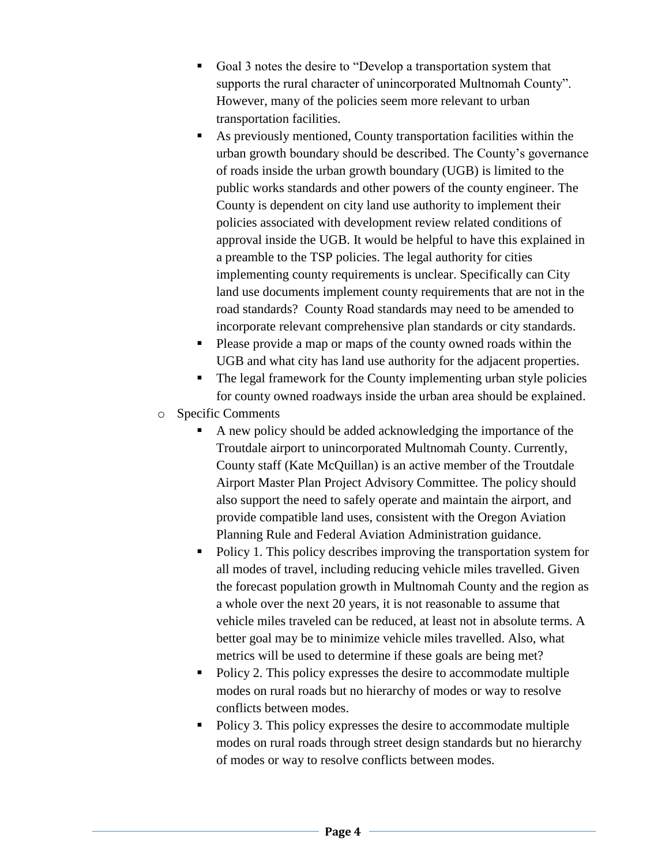- Goal 3 notes the desire to "Develop a transportation system that supports the rural character of unincorporated Multnomah County". However, many of the policies seem more relevant to urban transportation facilities.
- As previously mentioned, County transportation facilities within the urban growth boundary should be described. The County's governance of roads inside the urban growth boundary (UGB) is limited to the public works standards and other powers of the county engineer. The County is dependent on city land use authority to implement their policies associated with development review related conditions of approval inside the UGB. It would be helpful to have this explained in a preamble to the TSP policies. The legal authority for cities implementing county requirements is unclear. Specifically can City land use documents implement county requirements that are not in the road standards? County Road standards may need to be amended to incorporate relevant comprehensive plan standards or city standards.
- Please provide a map or maps of the county owned roads within the UGB and what city has land use authority for the adjacent properties.
- The legal framework for the County implementing urban style policies for county owned roadways inside the urban area should be explained.
- o Specific Comments
	- A new policy should be added acknowledging the importance of the Troutdale airport to unincorporated Multnomah County. Currently, County staff (Kate McQuillan) is an active member of the Troutdale Airport Master Plan Project Advisory Committee. The policy should also support the need to safely operate and maintain the airport, and provide compatible land uses, consistent with the Oregon Aviation Planning Rule and Federal Aviation Administration guidance.
	- Policy 1. This policy describes improving the transportation system for all modes of travel, including reducing vehicle miles travelled. Given the forecast population growth in Multnomah County and the region as a whole over the next 20 years, it is not reasonable to assume that vehicle miles traveled can be reduced, at least not in absolute terms. A better goal may be to minimize vehicle miles travelled. Also, what metrics will be used to determine if these goals are being met?
	- Policy 2. This policy expresses the desire to accommodate multiple modes on rural roads but no hierarchy of modes or way to resolve conflicts between modes.
	- Policy 3. This policy expresses the desire to accommodate multiple modes on rural roads through street design standards but no hierarchy of modes or way to resolve conflicts between modes.